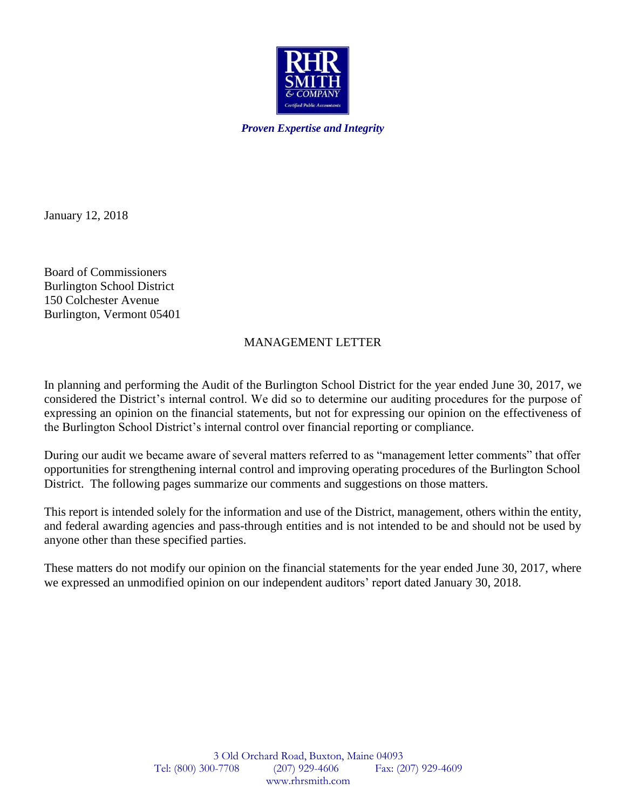

*Proven Expertise and Integrity*

January 12, 2018

Board of Commissioners Burlington School District 150 Colchester Avenue Burlington, Vermont 05401

# MANAGEMENT LETTER

In planning and performing the Audit of the Burlington School District for the year ended June 30, 2017, we considered the District's internal control. We did so to determine our auditing procedures for the purpose of expressing an opinion on the financial statements, but not for expressing our opinion on the effectiveness of the Burlington School District's internal control over financial reporting or compliance.

During our audit we became aware of several matters referred to as "management letter comments" that offer opportunities for strengthening internal control and improving operating procedures of the Burlington School District. The following pages summarize our comments and suggestions on those matters.

This report is intended solely for the information and use of the District, management, others within the entity, and federal awarding agencies and pass-through entities and is not intended to be and should not be used by anyone other than these specified parties.

These matters do not modify our opinion on the financial statements for the year ended June 30, 2017, where we expressed an unmodified opinion on our independent auditors' report dated January 30, 2018.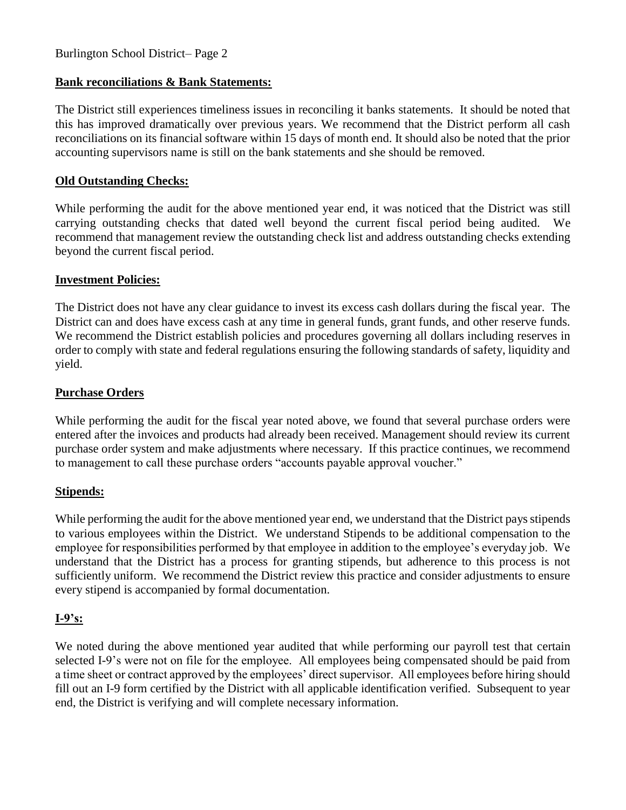# Burlington School District– Page 2

### **Bank reconciliations & Bank Statements:**

The District still experiences timeliness issues in reconciling it banks statements. It should be noted that this has improved dramatically over previous years. We recommend that the District perform all cash reconciliations on its financial software within 15 days of month end. It should also be noted that the prior accounting supervisors name is still on the bank statements and she should be removed.

### **Old Outstanding Checks:**

While performing the audit for the above mentioned year end, it was noticed that the District was still carrying outstanding checks that dated well beyond the current fiscal period being audited. We recommend that management review the outstanding check list and address outstanding checks extending beyond the current fiscal period.

### **Investment Policies:**

The District does not have any clear guidance to invest its excess cash dollars during the fiscal year. The District can and does have excess cash at any time in general funds, grant funds, and other reserve funds. We recommend the District establish policies and procedures governing all dollars including reserves in order to comply with state and federal regulations ensuring the following standards of safety, liquidity and yield.

### **Purchase Orders**

While performing the audit for the fiscal year noted above, we found that several purchase orders were entered after the invoices and products had already been received. Management should review its current purchase order system and make adjustments where necessary. If this practice continues, we recommend to management to call these purchase orders "accounts payable approval voucher."

#### **Stipends:**

While performing the audit for the above mentioned year end, we understand that the District pays stipends to various employees within the District. We understand Stipends to be additional compensation to the employee for responsibilities performed by that employee in addition to the employee's everyday job. We understand that the District has a process for granting stipends, but adherence to this process is not sufficiently uniform. We recommend the District review this practice and consider adjustments to ensure every stipend is accompanied by formal documentation.

# **I-9's:**

We noted during the above mentioned year audited that while performing our payroll test that certain selected I-9's were not on file for the employee. All employees being compensated should be paid from a time sheet or contract approved by the employees' direct supervisor. All employees before hiring should fill out an I-9 form certified by the District with all applicable identification verified. Subsequent to year end, the District is verifying and will complete necessary information.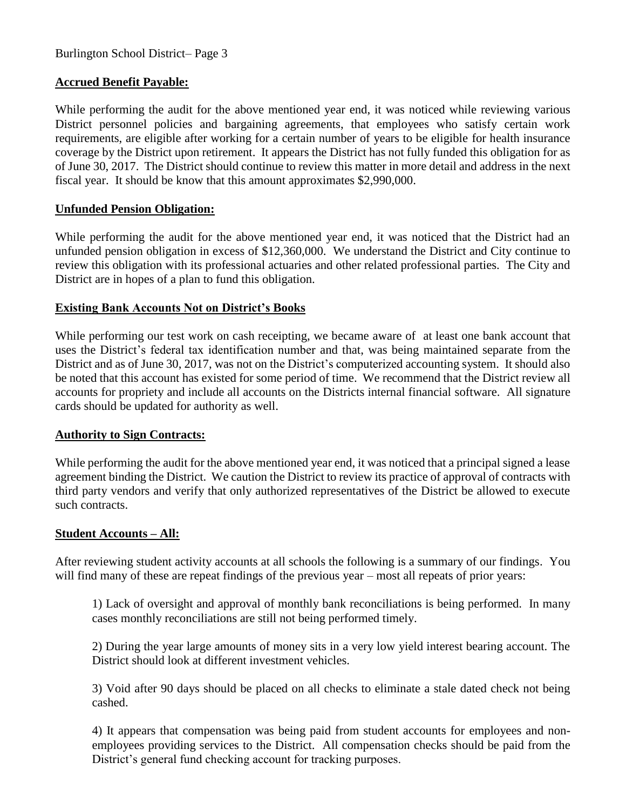# **Accrued Benefit Payable:**

While performing the audit for the above mentioned year end, it was noticed while reviewing various District personnel policies and bargaining agreements, that employees who satisfy certain work requirements, are eligible after working for a certain number of years to be eligible for health insurance coverage by the District upon retirement. It appears the District has not fully funded this obligation for as of June 30, 2017. The District should continue to review this matter in more detail and address in the next fiscal year. It should be know that this amount approximates \$2,990,000.

# **Unfunded Pension Obligation:**

While performing the audit for the above mentioned year end, it was noticed that the District had an unfunded pension obligation in excess of \$12,360,000. We understand the District and City continue to review this obligation with its professional actuaries and other related professional parties. The City and District are in hopes of a plan to fund this obligation.

# **Existing Bank Accounts Not on District's Books**

While performing our test work on cash receipting, we became aware of at least one bank account that uses the District's federal tax identification number and that, was being maintained separate from the District and as of June 30, 2017, was not on the District's computerized accounting system. It should also be noted that this account has existed for some period of time. We recommend that the District review all accounts for propriety and include all accounts on the Districts internal financial software. All signature cards should be updated for authority as well.

# **Authority to Sign Contracts:**

While performing the audit for the above mentioned year end, it was noticed that a principal signed a lease agreement binding the District. We caution the District to review its practice of approval of contracts with third party vendors and verify that only authorized representatives of the District be allowed to execute such contracts.

# **Student Accounts – All:**

After reviewing student activity accounts at all schools the following is a summary of our findings. You will find many of these are repeat findings of the previous year – most all repeats of prior years:

1) Lack of oversight and approval of monthly bank reconciliations is being performed. In many cases monthly reconciliations are still not being performed timely.

2) During the year large amounts of money sits in a very low yield interest bearing account. The District should look at different investment vehicles.

3) Void after 90 days should be placed on all checks to eliminate a stale dated check not being cashed.

 4) It appears that compensation was being paid from student accounts for employees and nonemployees providing services to the District. All compensation checks should be paid from the District's general fund checking account for tracking purposes.